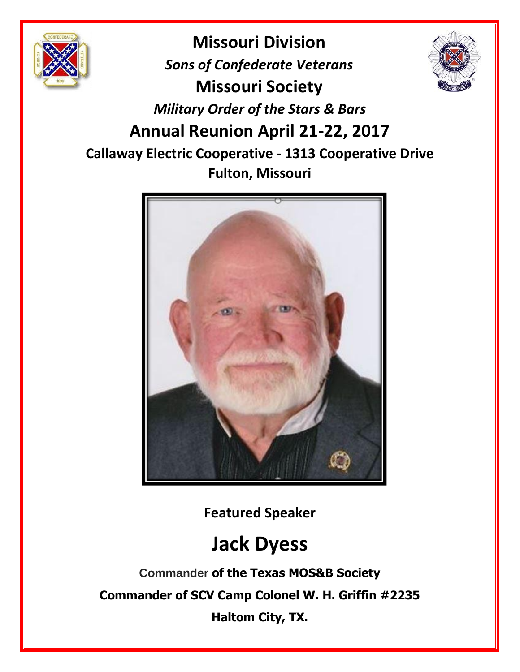

**Missouri Division** *Sons of Confederate Veterans* **Missouri Society** *Military Order of the Stars & Bars* **Annual Reunion April 21-22, 2017 Callaway Electric Cooperative - 1313 Cooperative Drive Fulton, Missouri**



**Featured Speaker**

# **Jack Dyess**

**Commander of the Texas MOS&B Society Commander of SCV Camp Colonel W. H. Griffin #2235 Haltom City, TX.**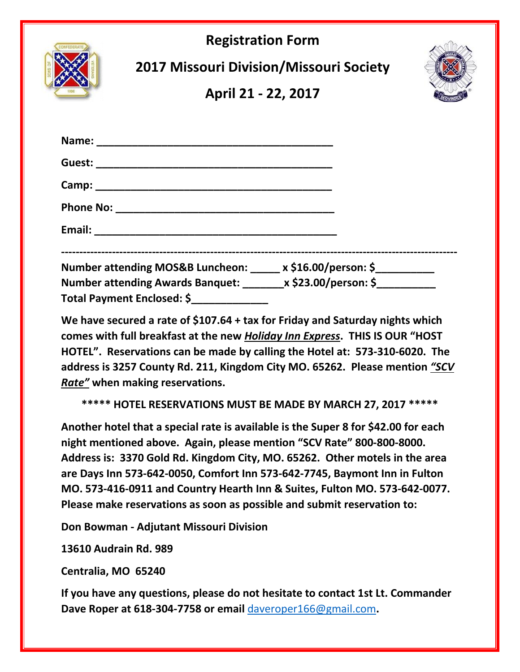

**We have secured a rate of \$107.64 + tax for Friday and Saturday nights which comes with full breakfast at the new** *Holiday Inn Express***. THIS IS OUR "HOST HOTEL". Reservations can be made by calling the Hotel at: 573-310-6020. The address is 3257 County Rd. 211, Kingdom City MO. 65262. Please mention** *"SCV Rate"* **when making reservations.** 

**\*\*\*\*\* HOTEL RESERVATIONS MUST BE MADE BY MARCH 27, 2017 \*\*\*\*\***

**Another hotel that a special rate is available is the Super 8 for \$42.00 for each night mentioned above. Again, please mention "SCV Rate" 800-800-8000. Address is: 3370 Gold Rd. Kingdom City, MO. 65262. Other motels in the area are Days Inn 573-642-0050, Comfort Inn 573-642-7745, Baymont Inn in Fulton MO. 573-416-0911 and Country Hearth Inn & Suites, Fulton MO. 573-642-0077. Please make reservations as soon as possible and submit reservation to:** 

**Don Bowman - Adjutant Missouri Division**

**13610 Audrain Rd. 989** 

**Centralia, MO 65240**

**If you have any questions, please do not hesitate to contact 1st Lt. Commander Dave Roper at 618-304-7758 or email** [daveroper166@gmail.com](mailto:daveroper166@gmail.com)**.**